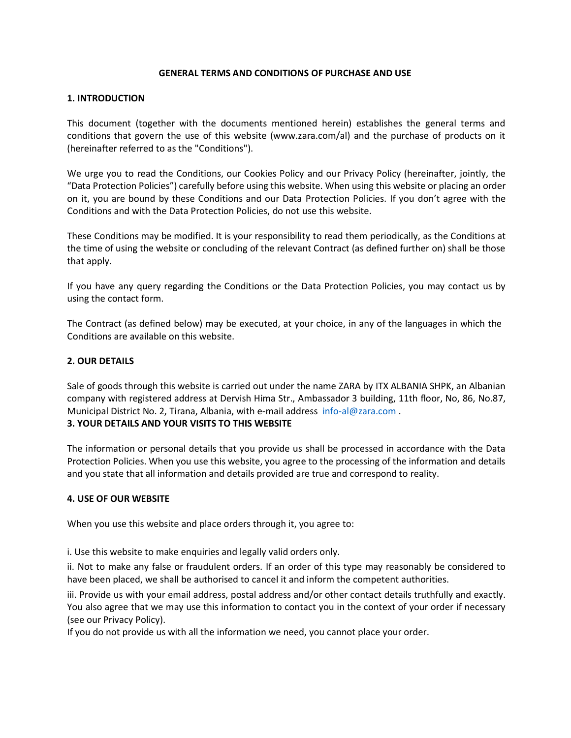#### **GENERAL TERMS AND CONDITIONS OF PURCHASE AND USE**

#### **1. INTRODUCTION**

This document (together with the documents mentioned herein) establishes the general terms and conditions that govern the use of this website [\(www.zara.com/](http://www.zara.com/)al) and the purchase of products on it (hereinafter referred to as the "Conditions").

We urge you to read the Conditions, our Cookies Policy and our Privacy Policy (hereinafter, jointly, the "Data Protection Policies") carefully before using this website. When using this website or placing an order on it, you are bound by these Conditions and our Data Protection Policies. If you don't agree with the Conditions and with the Data Protection Policies, do not use this website.

These Conditions may be modified. It is your responsibility to read them periodically, as the Conditions at the time of using the website or concluding of the relevant Contract (as defined further on) shall be those that apply.

If you have any query regarding the Conditions or the Data Protection Policies, you may contact us by using the contact form.

The Contract (as defined below) may be executed, at your choice, in any of the languages in which the Conditions are available on this website.

### **2. OUR DETAILS**

Sale of goods through this website is carried out under the name ZARA by ITX ALBANIA SHPK, an Albanian company with registered address at Dervish Hima Str., Ambassador 3 building, 11th floor, No, 86, No.87, Municipal District No. 2, Tirana, Albania, with e-mail address [info-al@zara.com](mailto:info-al@zara.com) .

### **3. YOUR DETAILS AND YOUR VISITS TO THIS WEBSITE**

The information or personal details that you provide us shall be processed in accordance with the Data Protection Policies. When you use this website, you agree to the processing of the information and details and you state that all information and details provided are true and correspond to reality.

#### **4. USE OF OUR WEBSITE**

When you use this website and place orders through it, you agree to:

i. Use this website to make enquiries and legally valid orders only.

ii. Not to make any false or fraudulent orders. If an order of this type may reasonably be considered to have been placed, we shall be authorised to cancel it and inform the competent authorities.

iii. Provide us with your email address, postal address and/or other contact details truthfully and exactly. You also agree that we may use this information to contact you in the context of your order if necessary (see our Privacy Policy).

If you do not provide us with all the information we need, you cannot place your order.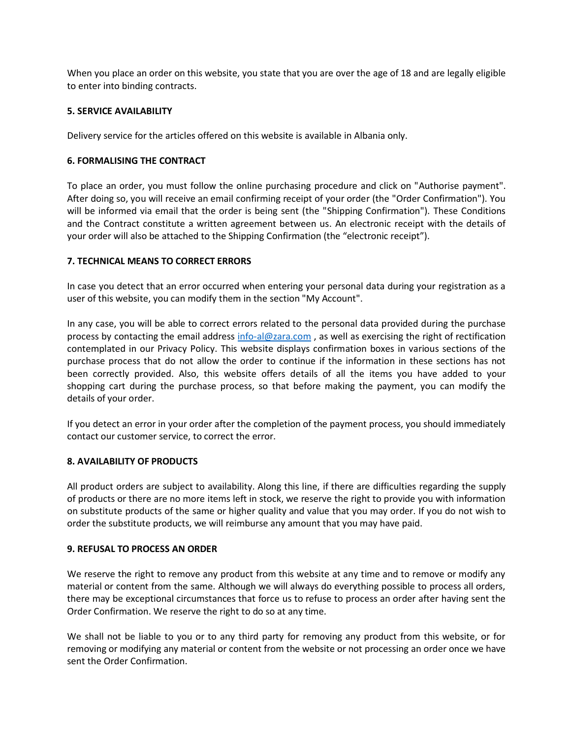When you place an order on this website, you state that you are over the age of 18 and are legally eligible to enter into binding contracts.

### **5. SERVICE AVAILABILITY**

Delivery service for the articles offered on this website is available in Albania only.

## **6. FORMALISING THE CONTRACT**

To place an order, you must follow the online purchasing procedure and click on "Authorise payment". After doing so, you will receive an email confirming receipt of your order (the "Order Confirmation"). You will be informed via email that the order is being sent (the "Shipping Confirmation"). These Conditions and the Contract constitute a written agreement between us. An electronic receipt with the details of your order will also be attached to the Shipping Confirmation (the "electronic receipt").

## **7. TECHNICAL MEANS TO CORRECT ERRORS**

In case you detect that an error occurred when entering your personal data during your registration as a user of this website, you can modify them in the section "My Account".

In any case, you will be able to correct errors related to the personal data provided during the purchase process by contacting the email address [info-al@zara.com](mailto:info-al@zara.com), as well as exercising the right of rectification contemplated in our Privacy Policy. This website displays confirmation boxes in various sections of the purchase process that do not allow the order to continue if the information in these sections has not been correctly provided. Also, this website offers details of all the items you have added to your shopping cart during the purchase process, so that before making the payment, you can modify the details of your order.

If you detect an error in your order after the completion of the payment process, you should immediately contact our customer service, to correct the error.

### **8. AVAILABILITY OF PRODUCTS**

All product orders are subject to availability. Along this line, if there are difficulties regarding the supply of products or there are no more items left in stock, we reserve the right to provide you with information on substitute products of the same or higher quality and value that you may order. If you do not wish to order the substitute products, we will reimburse any amount that you may have paid.

### **9. REFUSAL TO PROCESS AN ORDER**

We reserve the right to remove any product from this website at any time and to remove or modify any material or content from the same. Although we will always do everything possible to process all orders, there may be exceptional circumstances that force us to refuse to process an order after having sent the Order Confirmation. We reserve the right to do so at any time.

We shall not be liable to you or to any third party for removing any product from this website, or for removing or modifying any material or content from the website or not processing an order once we have sent the Order Confirmation.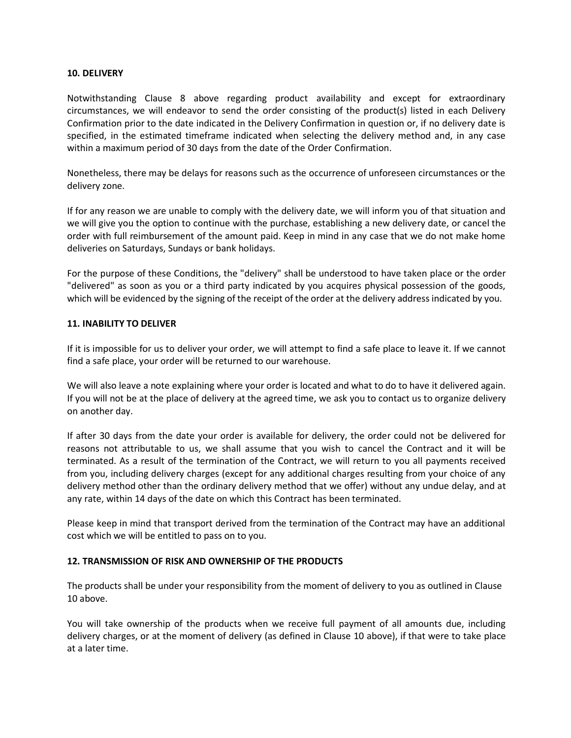#### **10. DELIVERY**

Notwithstanding Clause 8 above regarding product availability and except for extraordinary circumstances, we will endeavor to send the order consisting of the product(s) listed in each Delivery Confirmation prior to the date indicated in the Delivery Confirmation in question or, if no delivery date is specified, in the estimated timeframe indicated when selecting the delivery method and, in any case within a maximum period of 30 days from the date of the Order Confirmation.

Nonetheless, there may be delays for reasons such as the occurrence of unforeseen circumstances or the delivery zone.

If for any reason we are unable to comply with the delivery date, we will inform you of that situation and we will give you the option to continue with the purchase, establishing a new delivery date, or cancel the order with full reimbursement of the amount paid. Keep in mind in any case that we do not make home deliveries on Saturdays, Sundays or bank holidays.

For the purpose of these Conditions, the "delivery" shall be understood to have taken place or the order "delivered" as soon as you or a third party indicated by you acquires physical possession of the goods, which will be evidenced by the signing of the receipt of the order at the delivery address indicated by you.

### **11. INABILITY TO DELIVER**

If it is impossible for us to deliver your order, we will attempt to find a safe place to leave it. If we cannot find a safe place, your order will be returned to our warehouse.

We will also leave a note explaining where your order is located and what to do to have it delivered again. If you will not be at the place of delivery at the agreed time, we ask you to contact us to organize delivery on another day.

If after 30 days from the date your order is available for delivery, the order could not be delivered for reasons not attributable to us, we shall assume that you wish to cancel the Contract and it will be terminated. As a result of the termination of the Contract, we will return to you all payments received from you, including delivery charges (except for any additional charges resulting from your choice of any delivery method other than the ordinary delivery method that we offer) without any undue delay, and at any rate, within 14 days of the date on which this Contract has been terminated.

Please keep in mind that transport derived from the termination of the Contract may have an additional cost which we will be entitled to pass on to you.

### **12. TRANSMISSION OF RISK AND OWNERSHIP OF THE PRODUCTS**

The products shall be under your responsibility from the moment of delivery to you as outlined in Clause 10 above.

You will take ownership of the products when we receive full payment of all amounts due, including delivery charges, or at the moment of delivery (as defined in Clause 10 above), if that were to take place at a later time.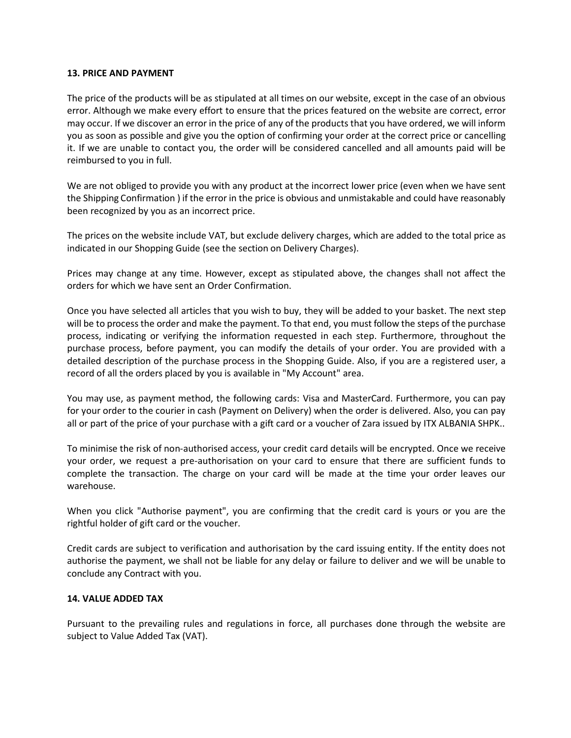#### **13. PRICE AND PAYMENT**

The price of the products will be as stipulated at all times on our website, except in the case of an obvious error. Although we make every effort to ensure that the prices featured on the website are correct, error may occur. If we discover an error in the price of any of the products that you have ordered, we will inform you as soon as possible and give you the option of confirming your order at the correct price or cancelling it. If we are unable to contact you, the order will be considered cancelled and all amounts paid will be reimbursed to you in full.

We are not obliged to provide you with any product at the incorrect lower price (even when we have sent the Shipping Confirmation ) if the error in the price is obvious and unmistakable and could have reasonably been recognized by you as an incorrect price.

The prices on the website include VAT, but exclude delivery charges, which are added to the total price as indicated in our Shopping Guide (see the section on Delivery Charges).

Prices may change at any time. However, except as stipulated above, the changes shall not affect the orders for which we have sent an Order Confirmation.

Once you have selected all articles that you wish to buy, they will be added to your basket. The next step will be to process the order and make the payment. To that end, you must follow the steps of the purchase process, indicating or verifying the information requested in each step. Furthermore, throughout the purchase process, before payment, you can modify the details of your order. You are provided with a detailed description of the purchase process in the Shopping Guide. Also, if you are a registered user, a record of all the orders placed by you is available in "My Account" area.

You may use, as payment method, the following cards: Visa and MasterCard. Furthermore, you can pay for your order to the courier in cash (Payment on Delivery) when the order is delivered. Also, you can pay all or part of the price of your purchase with a gift card or a voucher of Zara issued by ITX ALBANIA SHPK..

To minimise the risk of non-authorised access, your credit card details will be encrypted. Once we receive your order, we request a pre-authorisation on your card to ensure that there are sufficient funds to complete the transaction. The charge on your card will be made at the time your order leaves our warehouse.

When you click "Authorise payment", you are confirming that the credit card is yours or you are the rightful holder of gift card or the voucher.

Credit cards are subject to verification and authorisation by the card issuing entity. If the entity does not authorise the payment, we shall not be liable for any delay or failure to deliver and we will be unable to conclude any Contract with you.

### **14. VALUE ADDED TAX**

Pursuant to the prevailing rules and regulations in force, all purchases done through the website are subject to Value Added Tax (VAT).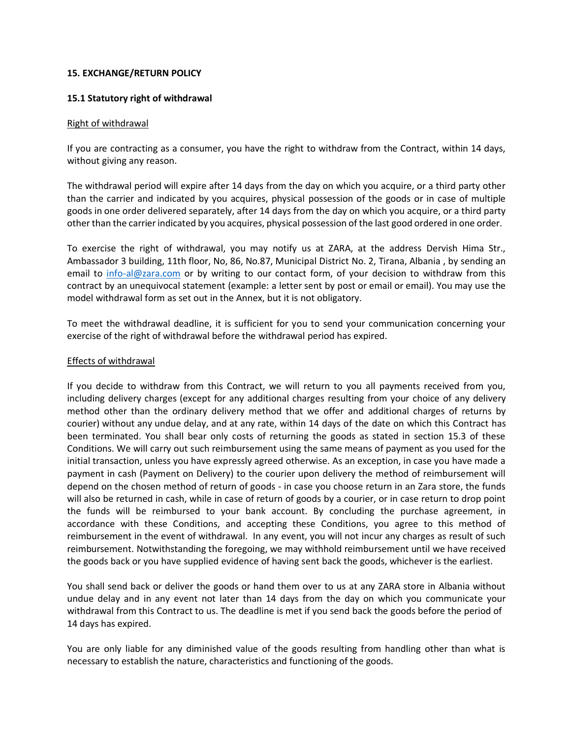#### **15. EXCHANGE/RETURN POLICY**

#### **15.1 Statutory right of withdrawal**

#### Right of withdrawal

If you are contracting as a consumer, you have the right to withdraw from the Contract, within 14 days, without giving any reason.

The withdrawal period will expire after 14 days from the day on which you acquire, or a third party other than the carrier and indicated by you acquires, physical possession of the goods or in case of multiple goods in one order delivered separately, after 14 days from the day on which you acquire, or a third party other than the carrier indicated by you acquires, physical possession of the last good ordered in one order.

To exercise the right of withdrawal, you may notify us at ZARA, at the address Dervish Hima Str., Ambassador 3 building, 11th floor, No, 86, No.87, Municipal District No. 2, Tirana, Albania , by sending an email to [info-al@zara.com](mailto:info-al@zara.com) or by writing to our contact form, of your decision to withdraw from this contract by an unequivocal statement (example: a letter sent by post or email or email). You may use the model withdrawal form as set out in the Annex, but it is not obligatory.

To meet the withdrawal deadline, it is sufficient for you to send your communication concerning your exercise of the right of withdrawal before the withdrawal period has expired.

#### Effects of withdrawal

If you decide to withdraw from this Contract, we will return to you all payments received from you, including delivery charges (except for any additional charges resulting from your choice of any delivery method other than the ordinary delivery method that we offer and additional charges of returns by courier) without any undue delay, and at any rate, within 14 days of the date on which this Contract has been terminated. You shall bear only costs of returning the goods as stated in section 15.3 of these Conditions. We will carry out such reimbursement using the same means of payment as you used for the initial transaction, unless you have expressly agreed otherwise. As an exception, in case you have made a payment in cash (Payment on Delivery) to the courier upon delivery the method of reimbursement will depend on the chosen method of return of goods - in case you choose return in an Zara store, the funds will also be returned in cash, while in case of return of goods by a courier, or in case return to drop point the funds will be reimbursed to your bank account. By concluding the purchase agreement, in accordance with these Conditions, and accepting these Conditions, you agree to this method of reimbursement in the event of withdrawal. In any event, you will not incur any charges as result of such reimbursement. Notwithstanding the foregoing, we may withhold reimbursement until we have received the goods back or you have supplied evidence of having sent back the goods, whichever is the earliest.

You shall send back or deliver the goods or hand them over to us at any ZARA store in Albania without undue delay and in any event not later than 14 days from the day on which you communicate your withdrawal from this Contract to us. The deadline is met if you send back the goods before the period of 14 days has expired.

You are only liable for any diminished value of the goods resulting from handling other than what is necessary to establish the nature, characteristics and functioning of the goods.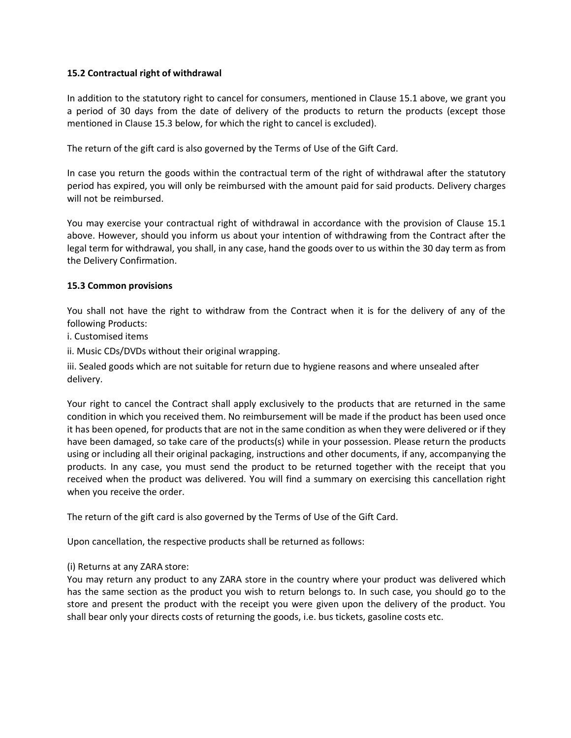### **15.2 Contractual right of withdrawal**

In addition to the statutory right to cancel for consumers, mentioned in Clause 15.1 above, we grant you a period of 30 days from the date of delivery of the products to return the products (except those mentioned in Clause 15.3 below, for which the right to cancel is excluded).

The return of the gift card is also governed by the Terms of Use of the Gift Card.

In case you return the goods within the contractual term of the right of withdrawal after the statutory period has expired, you will only be reimbursed with the amount paid for said products. Delivery charges will not be reimbursed.

You may exercise your contractual right of withdrawal in accordance with the provision of Clause 15.1 above. However, should you inform us about your intention of withdrawing from the Contract after the legal term for withdrawal, you shall, in any case, hand the goods over to us within the 30 day term as from the Delivery Confirmation.

#### **15.3 Common provisions**

You shall not have the right to withdraw from the Contract when it is for the delivery of any of the following Products:

i. Customised items

ii. Music CDs/DVDs without their original wrapping.

iii. Sealed goods which are not suitable for return due to hygiene reasons and where unsealed after delivery.

Your right to cancel the Contract shall apply exclusively to the products that are returned in the same condition in which you received them. No reimbursement will be made if the product has been used once it has been opened, for products that are not in the same condition as when they were delivered or if they have been damaged, so take care of the products(s) while in your possession. Please return the products using or including all their original packaging, instructions and other documents, if any, accompanying the products. In any case, you must send the product to be returned together with the receipt that you received when the product was delivered. You will find a summary on exercising this cancellation right when you receive the order.

The return of the gift card is also governed by the Terms of Use of the Gift Card.

Upon cancellation, the respective products shall be returned as follows:

### (i) Returns at any ZARA store:

You may return any product to any ZARA store in the country where your product was delivered which has the same section as the product you wish to return belongs to. In such case, you should go to the store and present the product with the receipt you were given upon the delivery of the product. You shall bear only your directs costs of returning the goods, i.e. bus tickets, gasoline costs etc.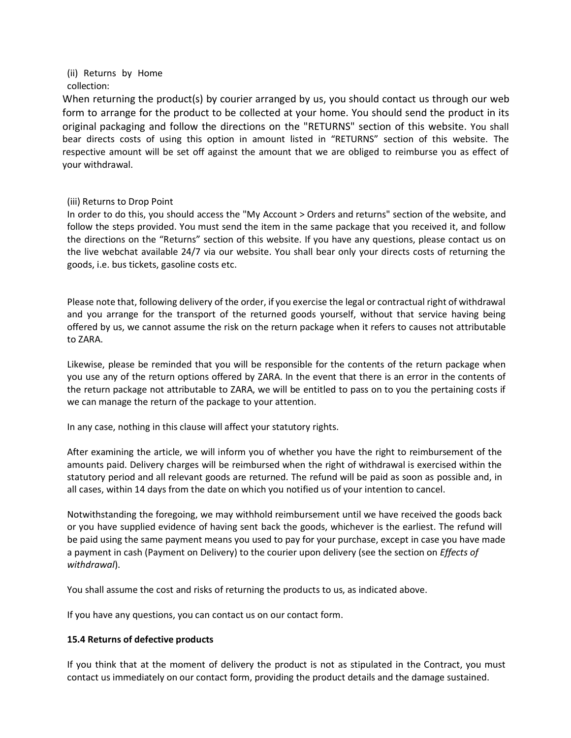(ii) Returns by Home collection:

When returning the product(s) by courier arranged by us, you should contact us through our web form to arrange for the product to be collected at your home. You should send the product in its original packaging and follow the directions on the "RETURNS" section of this website. You shall bear directs costs of using this option in amount listed in "RETURNS" section of this website. The respective amount will be set off against the amount that we are obliged to reimburse you as effect of your withdrawal.

### (iii) Returns to Drop Point

In order to do this, you should access the "My Account > Orders and returns" section of the website, and follow the steps provided. You must send the item in the same package that you received it, and follow the directions on the "Returns" section of this website. If you have any questions, please contact us on the live webchat available 24/7 via our website. You shall bear only your directs costs of returning the goods, i.e. bus tickets, gasoline costs etc.

Please note that, following delivery of the order, if you exercise the legal or contractual right of withdrawal and you arrange for the transport of the returned goods yourself, without that service having being offered by us, we cannot assume the risk on the return package when it refers to causes not attributable to ZARA.

Likewise, please be reminded that you will be responsible for the contents of the return package when you use any of the return options offered by ZARA. In the event that there is an error in the contents of the return package not attributable to ZARA, we will be entitled to pass on to you the pertaining costs if we can manage the return of the package to your attention.

In any case, nothing in this clause will affect your statutory rights.

After examining the article, we will inform you of whether you have the right to reimbursement of the amounts paid. Delivery charges will be reimbursed when the right of withdrawal is exercised within the statutory period and all relevant goods are returned. The refund will be paid as soon as possible and, in all cases, within 14 days from the date on which you notified us of your intention to cancel.

Notwithstanding the foregoing, we may withhold reimbursement until we have received the goods back or you have supplied evidence of having sent back the goods, whichever is the earliest. The refund will be paid using the same payment means you used to pay for your purchase, except in case you have made a payment in cash (Payment on Delivery) to the courier upon delivery (see the section on *Effects of withdrawal*).

You shall assume the cost and risks of returning the products to us, as indicated above.

If you have any questions, you can contact us on our contact form.

# **15.4 Returns of defective products**

If you think that at the moment of delivery the product is not as stipulated in the Contract, you must contact us immediately on our contact form, providing the product details and the damage sustained.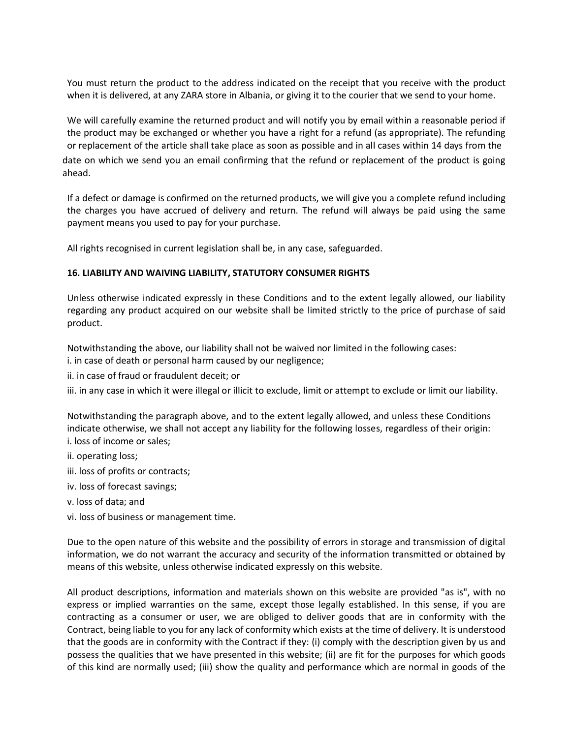You must return the product to the address indicated on the receipt that you receive with the product when it is delivered, at any ZARA store in Albania, or giving it to the courier that we send to your home.

We will carefully examine the returned product and will notify you by email within a reasonable period if the product may be exchanged or whether you have a right for a refund (as appropriate). The refunding or replacement of the article shall take place as soon as possible and in all cases within 14 days from the date on which we send you an email confirming that the refund or replacement of the product is going ahead.

If a defect or damage is confirmed on the returned products, we will give you a complete refund including the charges you have accrued of delivery and return. The refund will always be paid using the same payment means you used to pay for your purchase.

All rights recognised in current legislation shall be, in any case, safeguarded.

### **16. LIABILITY AND WAIVING LIABILITY, STATUTORY CONSUMER RIGHTS**

Unless otherwise indicated expressly in these Conditions and to the extent legally allowed, our liability regarding any product acquired on our website shall be limited strictly to the price of purchase of said product.

Notwithstanding the above, our liability shall not be waived nor limited in the following cases:

- i. in case of death or personal harm caused by our negligence;
- ii. in case of fraud or fraudulent deceit; or

iii. in any case in which it were illegal or illicit to exclude, limit or attempt to exclude or limit our liability.

Notwithstanding the paragraph above, and to the extent legally allowed, and unless these Conditions indicate otherwise, we shall not accept any liability for the following losses, regardless of their origin: i. loss of income or sales;

- ii. operating loss;
- iii. loss of profits or contracts;
- iv. loss of forecast savings;
- v. loss of data; and
- vi. loss of business or management time.

Due to the open nature of this website and the possibility of errors in storage and transmission of digital information, we do not warrant the accuracy and security of the information transmitted or obtained by means of this website, unless otherwise indicated expressly on this website.

All product descriptions, information and materials shown on this website are provided "as is", with no express or implied warranties on the same, except those legally established. In this sense, if you are contracting as a consumer or user, we are obliged to deliver goods that are in conformity with the Contract, being liable to you for any lack of conformity which exists at the time of delivery. It is understood that the goods are in conformity with the Contract if they: (i) comply with the description given by us and possess the qualities that we have presented in this website; (ii) are fit for the purposes for which goods of this kind are normally used; (iii) show the quality and performance which are normal in goods of the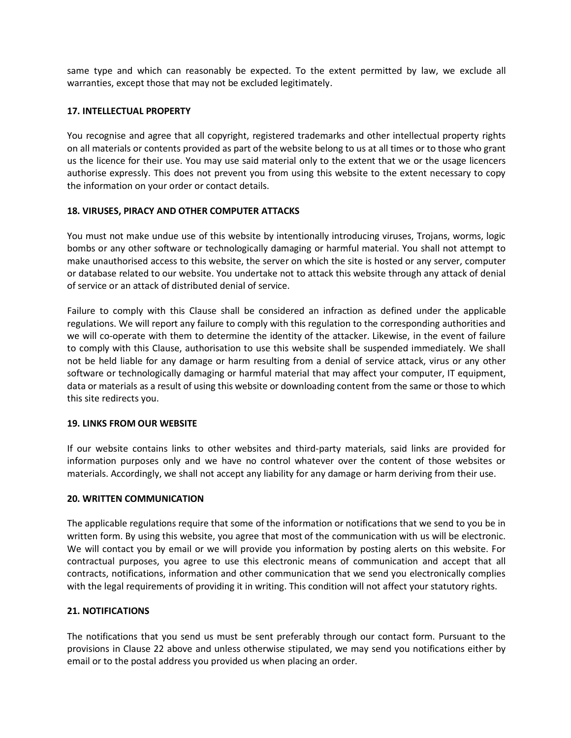same type and which can reasonably be expected. To the extent permitted by law, we exclude all warranties, except those that may not be excluded legitimately.

### **17. INTELLECTUAL PROPERTY**

You recognise and agree that all copyright, registered trademarks and other intellectual property rights on all materials or contents provided as part of the website belong to us at all times or to those who grant us the licence for their use. You may use said material only to the extent that we or the usage licencers authorise expressly. This does not prevent you from using this website to the extent necessary to copy the information on your order or contact details.

### **18. VIRUSES, PIRACY AND OTHER COMPUTER ATTACKS**

You must not make undue use of this website by intentionally introducing viruses, Trojans, worms, logic bombs or any other software or technologically damaging or harmful material. You shall not attempt to make unauthorised access to this website, the server on which the site is hosted or any server, computer or database related to our website. You undertake not to attack this website through any attack of denial of service or an attack of distributed denial of service.

Failure to comply with this Clause shall be considered an infraction as defined under the applicable regulations. We will report any failure to comply with this regulation to the corresponding authorities and we will co-operate with them to determine the identity of the attacker. Likewise, in the event of failure to comply with this Clause, authorisation to use this website shall be suspended immediately. We shall not be held liable for any damage or harm resulting from a denial of service attack, virus or any other software or technologically damaging or harmful material that may affect your computer, IT equipment, data or materials as a result of using this website or downloading content from the same or those to which this site redirects you.

### **19. LINKS FROM OUR WEBSITE**

If our website contains links to other websites and third-party materials, said links are provided for information purposes only and we have no control whatever over the content of those websites or materials. Accordingly, we shall not accept any liability for any damage or harm deriving from their use.

### **20. WRITTEN COMMUNICATION**

The applicable regulations require that some of the information or notifications that we send to you be in written form. By using this website, you agree that most of the communication with us will be electronic. We will contact you by email or we will provide you information by posting alerts on this website. For contractual purposes, you agree to use this electronic means of communication and accept that all contracts, notifications, information and other communication that we send you electronically complies with the legal requirements of providing it in writing. This condition will not affect your statutory rights.

## **21. NOTIFICATIONS**

The notifications that you send us must be sent preferably through our contact form. Pursuant to the provisions in Clause 22 above and unless otherwise stipulated, we may send you notifications either by email or to the postal address you provided us when placing an order.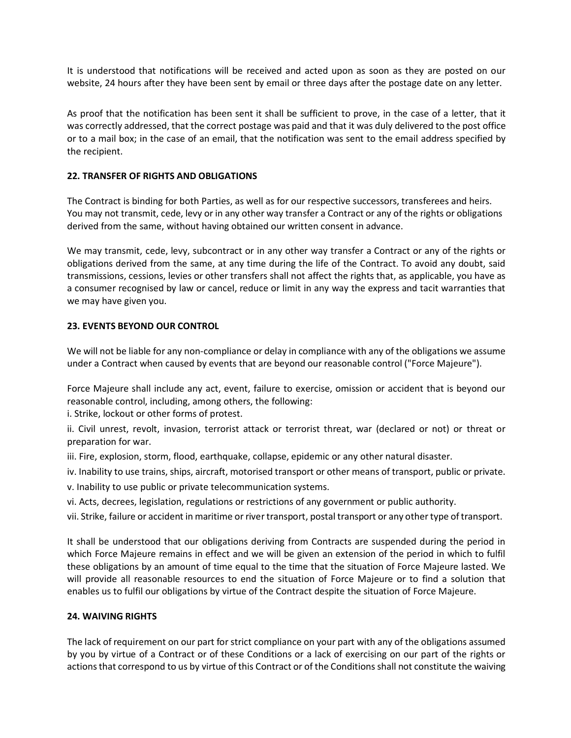It is understood that notifications will be received and acted upon as soon as they are posted on our website, 24 hours after they have been sent by email or three days after the postage date on any letter.

As proof that the notification has been sent it shall be sufficient to prove, in the case of a letter, that it was correctly addressed, that the correct postage was paid and that it was duly delivered to the post office or to a mail box; in the case of an email, that the notification was sent to the email address specified by the recipient.

## **22. TRANSFER OF RIGHTS AND OBLIGATIONS**

The Contract is binding for both Parties, as well as for our respective successors, transferees and heirs. You may not transmit, cede, levy or in any other way transfer a Contract or any of the rights or obligations derived from the same, without having obtained our written consent in advance.

We may transmit, cede, levy, subcontract or in any other way transfer a Contract or any of the rights or obligations derived from the same, at any time during the life of the Contract. To avoid any doubt, said transmissions, cessions, levies or other transfers shall not affect the rights that, as applicable, you have as a consumer recognised by law or cancel, reduce or limit in any way the express and tacit warranties that we may have given you.

## **23. EVENTS BEYOND OUR CONTROL**

We will not be liable for any non-compliance or delay in compliance with any of the obligations we assume under a Contract when caused by events that are beyond our reasonable control ("Force Majeure").

Force Majeure shall include any act, event, failure to exercise, omission or accident that is beyond our reasonable control, including, among others, the following:

i. Strike, lockout or other forms of protest.

ii. Civil unrest, revolt, invasion, terrorist attack or terrorist threat, war (declared or not) or threat or preparation for war.

iii. Fire, explosion, storm, flood, earthquake, collapse, epidemic or any other natural disaster.

iv. Inability to use trains, ships, aircraft, motorised transport or other means of transport, public or private.

v. Inability to use public or private telecommunication systems.

vi. Acts, decrees, legislation, regulations or restrictions of any government or public authority.

vii. Strike, failure or accident in maritime or river transport, postal transport or any other type of transport.

It shall be understood that our obligations deriving from Contracts are suspended during the period in which Force Majeure remains in effect and we will be given an extension of the period in which to fulfil these obligations by an amount of time equal to the time that the situation of Force Majeure lasted. We will provide all reasonable resources to end the situation of Force Majeure or to find a solution that enables us to fulfil our obligations by virtue of the Contract despite the situation of Force Majeure.

# **24. WAIVING RIGHTS**

The lack of requirement on our part for strict compliance on your part with any of the obligations assumed by you by virtue of a Contract or of these Conditions or a lack of exercising on our part of the rights or actionsthat correspond to us by virtue of this Contract or of the Conditions shall not constitute the waiving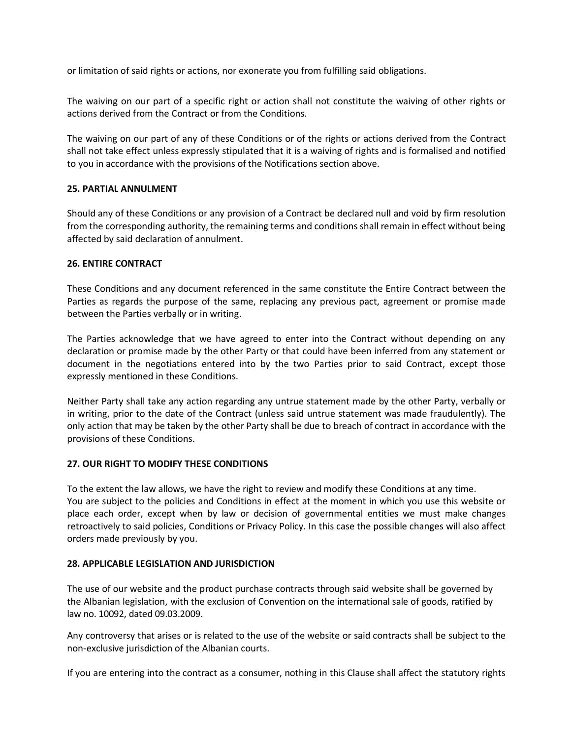or limitation of said rights or actions, nor exonerate you from fulfilling said obligations.

The waiving on our part of a specific right or action shall not constitute the waiving of other rights or actions derived from the Contract or from the Conditions.

The waiving on our part of any of these Conditions or of the rights or actions derived from the Contract shall not take effect unless expressly stipulated that it is a waiving of rights and is formalised and notified to you in accordance with the provisions of the Notifications section above.

### **25. PARTIAL ANNULMENT**

Should any of these Conditions or any provision of a Contract be declared null and void by firm resolution from the corresponding authority, the remaining terms and conditions shall remain in effect without being affected by said declaration of annulment.

#### **26. ENTIRE CONTRACT**

These Conditions and any document referenced in the same constitute the Entire Contract between the Parties as regards the purpose of the same, replacing any previous pact, agreement or promise made between the Parties verbally or in writing.

The Parties acknowledge that we have agreed to enter into the Contract without depending on any declaration or promise made by the other Party or that could have been inferred from any statement or document in the negotiations entered into by the two Parties prior to said Contract, except those expressly mentioned in these Conditions.

Neither Party shall take any action regarding any untrue statement made by the other Party, verbally or in writing, prior to the date of the Contract (unless said untrue statement was made fraudulently). The only action that may be taken by the other Party shall be due to breach of contract in accordance with the provisions of these Conditions.

### **27. OUR RIGHT TO MODIFY THESE CONDITIONS**

To the extent the law allows, we have the right to review and modify these Conditions at any time. You are subject to the policies and Conditions in effect at the moment in which you use this website or place each order, except when by law or decision of governmental entities we must make changes retroactively to said policies, Conditions or Privacy Policy. In this case the possible changes will also affect orders made previously by you.

### **28. APPLICABLE LEGISLATION AND JURISDICTION**

The use of our website and the product purchase contracts through said website shall be governed by the Albanian legislation, with the exclusion of Convention on the international sale of goods, ratified by law no. 10092, dated 09.03.2009.

Any controversy that arises or is related to the use of the website or said contracts shall be subject to the non-exclusive jurisdiction of the Albanian courts.

If you are entering into the contract as a consumer, nothing in this Clause shall affect the statutory rights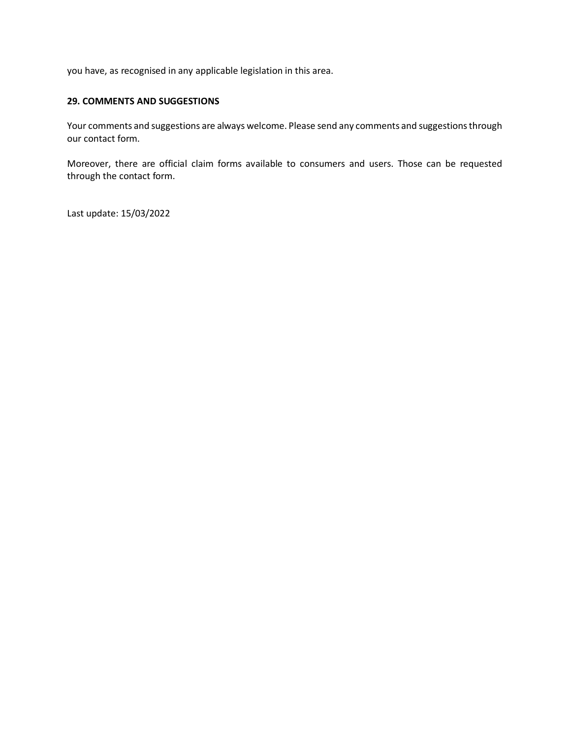you have, as recognised in any applicable legislation in this area.

#### **29. COMMENTS AND SUGGESTIONS**

Your comments and suggestions are always welcome. Please send any comments and suggestionsthrough our contact form.

Moreover, there are official claim forms available to consumers and users. Those can be requested through the contact form.

Last update: 15/03/2022